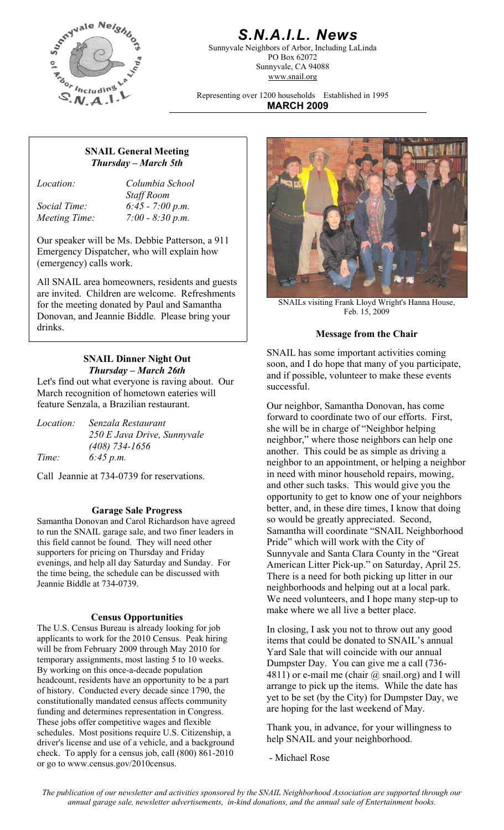

# *S.N.A.I.L. News*

Sunnyvale Neighbors of Arbor, Including LaLinda PO Box 62072 Sunnyvale, CA 94088 www.snail.org

Representing over 1200 households Established in 1995 **MARCH 2009**

## **SNAIL General Meeting**  *Thursday – March 5th*

*Location: Columbia School Staff Room Social Time: 6:45 - 7:00 p.m. Meeting Time: 7:00 - 8:30 p.m.* 

Our speaker will be Ms. Debbie Patterson, a 911 Emergency Dispatcher, who will explain how (emergency) calls work.

All SNAIL area homeowners, residents and guests are invited. Children are welcome. Refreshments for the meeting donated by Paul and Samantha Donovan, and Jeannie Biddle. Please bring your drinks.

# **SNAIL Dinner Night Out**  *Thursday – March 26th*

Let's find out what everyone is raving about. Our March recognition of hometown eateries will feature Senzala, a Brazilian restaurant. Our neighbor, Samantha Donovan, has come

| <i>Location:</i> | Senzala Restaurant          |
|------------------|-----------------------------|
|                  | 250 E Java Drive, Sunnyvale |
|                  | $(408)$ 734-1656            |
| Time:            | 6:45 p.m.                   |

Call Jeannie at 734-0739 for reservations.

### **Garage Sale Progress**

Samantha Donovan and Carol Richardson have agreed to run the SNAIL garage sale, and two finer leaders in this field cannot be found. They will need other supporters for pricing on Thursday and Friday evenings, and help all day Saturday and Sunday. For the time being, the schedule can be discussed with Jeannie Biddle at 734-0739.

#### **Census Opportunities**

The U.S. Census Bureau is already looking for job applicants to work for the 2010 Census. Peak hiring will be from February 2009 through May 2010 for temporary assignments, most lasting 5 to 10 weeks. By working on this once-a-decade population headcount, residents have an opportunity to be a part of history. Conducted every decade since 1790, the constitutionally mandated census affects community funding and determines representation in Congress. These jobs offer competitive wages and flexible schedules. Most positions require U.S. Citizenship, a driver's license and use of a vehicle, and a background check. To apply for a census job, call (800) 861-2010 or go to www.census.gov/2010census.



SNAILs visiting Frank Lloyd Wright's Hanna House, Feb. 15, 2009

#### **Message from the Chair**

SNAIL has some important activities coming soon, and I do hope that many of you participate, and if possible, volunteer to make these events successful.

forward to coordinate two of our efforts. First, she will be in charge of "Neighbor helping neighbor," where those neighbors can help one another. This could be as simple as driving a neighbor to an appointment, or helping a neighbor in need with minor household repairs, mowing, and other such tasks. This would give you the opportunity to get to know one of your neighbors better, and, in these dire times, I know that doing so would be greatly appreciated. Second, Samantha will coordinate "SNAIL Neighborhood Pride" which will work with the City of Sunnyvale and Santa Clara County in the "Great American Litter Pick-up." on Saturday, April 25. There is a need for both picking up litter in our neighborhoods and helping out at a local park. We need volunteers, and I hope many step-up to make where we all live a better place.

In closing, I ask you not to throw out any good items that could be donated to SNAIL's annual Yard Sale that will coincide with our annual Dumpster Day. You can give me a call (736- 4811) or e-mail me (chair  $\omega$  snail.org) and I will arrange to pick up the items. While the date has yet to be set (by the City) for Dumpster Day, we are hoping for the last weekend of May.

Thank you, in advance, for your willingness to help SNAIL and your neighborhood.

- Michael Rose